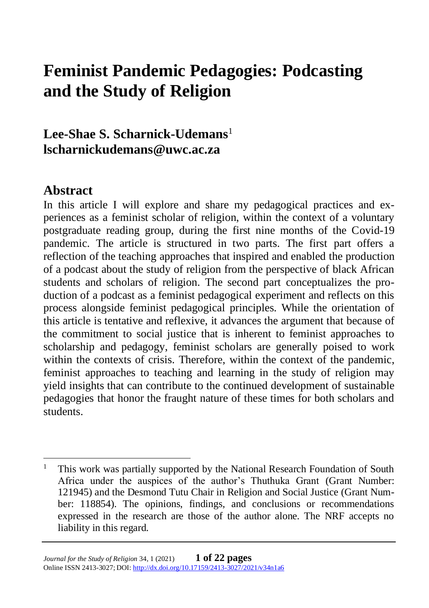# **Feminist Pandemic Pedagogies: Podcasting and the Study of Religion**

**Lee-Shae S. Scharnick-Udemans**<sup>1</sup> **lscharnickudemans@uwc.ac.za**

#### **Abstract**

In this article I will explore and share my pedagogical practices and experiences as a feminist scholar of religion, within the context of a voluntary postgraduate reading group, during the first nine months of the Covid-19 pandemic. The article is structured in two parts. The first part offers a reflection of the teaching approaches that inspired and enabled the production of a podcast about the study of religion from the perspective of black African students and scholars of religion. The second part conceptualizes the production of a podcast as a feminist pedagogical experiment and reflects on this process alongside feminist pedagogical principles. While the orientation of this article is tentative and reflexive, it advances the argument that because of the commitment to social justice that is inherent to feminist approaches to scholarship and pedagogy, feminist scholars are generally poised to work within the contexts of crisis. Therefore, within the context of the pandemic, feminist approaches to teaching and learning in the study of religion may yield insights that can contribute to the continued development of sustainable pedagogies that honor the fraught nature of these times for both scholars and students.

<sup>&</sup>lt;sup>1</sup> This work was partially supported by the National Research Foundation of South Africa under the auspices of the author's Thuthuka Grant (Grant Number: 121945) and the Desmond Tutu Chair in Religion and Social Justice (Grant Number: 118854). The opinions, findings, and conclusions or recommendations expressed in the research are those of the author alone. The NRF accepts no liability in this regard.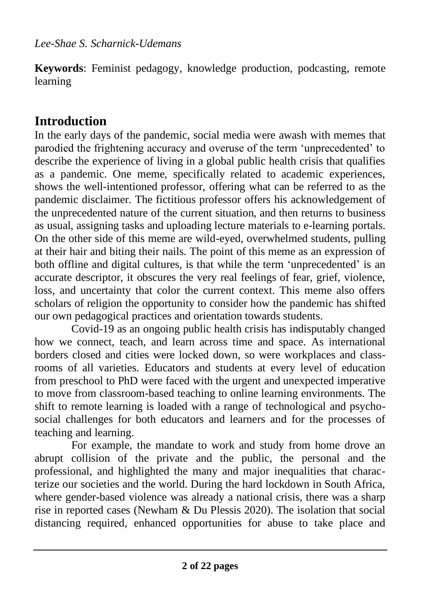**Keywords**: Feminist pedagogy, knowledge production, podcasting, remote learning

# **Introduction**

In the early days of the pandemic, social media were awash with memes that parodied the frightening accuracy and overuse of the term 'unprecedented' to describe the experience of living in a global public health crisis that qualifies as a pandemic. One meme, specifically related to academic experiences, shows the well-intentioned professor, offering what can be referred to as the pandemic disclaimer. The fictitious professor offers his acknowledgement of the unprecedented nature of the current situation, and then returns to business as usual, assigning tasks and uploading lecture materials to e-learning portals. On the other side of this meme are wild-eyed, overwhelmed students, pulling at their hair and biting their nails. The point of this meme as an expression of both offline and digital cultures, is that while the term 'unprecedented' is an accurate descriptor, it obscures the very real feelings of fear, grief, violence, loss, and uncertainty that color the current context. This meme also offers scholars of religion the opportunity to consider how the pandemic has shifted our own pedagogical practices and orientation towards students.

Covid-19 as an ongoing public health crisis has indisputably changed how we connect, teach, and learn across time and space. As international borders closed and cities were locked down, so were workplaces and classrooms of all varieties. Educators and students at every level of education from preschool to PhD were faced with the urgent and unexpected imperative to move from classroom-based teaching to online learning environments. The shift to remote learning is loaded with a range of technological and psychosocial challenges for both educators and learners and for the processes of teaching and learning.

For example, the mandate to work and study from home drove an abrupt collision of the private and the public, the personal and the professional, and highlighted the many and major inequalities that characterize our societies and the world. During the hard lockdown in South Africa, where gender-based violence was already a national crisis, there was a sharp rise in reported cases (Newham & Du Plessis 2020). The isolation that social distancing required, enhanced opportunities for abuse to take place and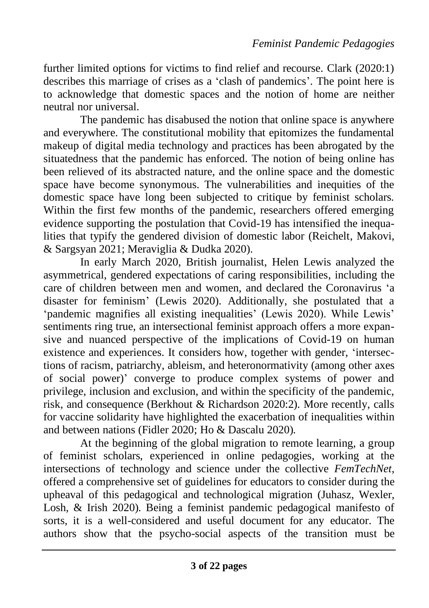further limited options for victims to find relief and recourse. Clark (2020:1) describes this marriage of crises as a 'clash of pandemics'. The point here is to acknowledge that domestic spaces and the notion of home are neither neutral nor universal.

The pandemic has disabused the notion that online space is anywhere and everywhere. The constitutional mobility that epitomizes the fundamental makeup of digital media technology and practices has been abrogated by the situatedness that the pandemic has enforced. The notion of being online has been relieved of its abstracted nature, and the online space and the domestic space have become synonymous. The vulnerabilities and inequities of the domestic space have long been subjected to critique by feminist scholars. Within the first few months of the pandemic, researchers offered emerging evidence supporting the postulation that Covid-19 has intensified the inequalities that typify the gendered division of domestic labor (Reichelt, Makovi, & Sargsyan 2021; Meraviglia & Dudka 2020).

In early March 2020, British journalist, Helen Lewis analyzed the asymmetrical, gendered expectations of caring responsibilities, including the care of children between men and women, and declared the Coronavirus 'a disaster for feminism' (Lewis 2020). Additionally, she postulated that a 'pandemic magnifies all existing inequalities' (Lewis 2020). While Lewis' sentiments ring true, an intersectional feminist approach offers a more expansive and nuanced perspective of the implications of Covid-19 on human existence and experiences. It considers how, together with gender, 'intersections of racism, patriarchy, ableism, and heteronormativity (among other axes of social power)' converge to produce complex systems of power and privilege, inclusion and exclusion, and within the specificity of the pandemic, risk, and consequence (Berkhout & Richardson 2020:2). More recently, calls for vaccine solidarity have highlighted the exacerbation of inequalities within and between nations (Fidler 2020; Ho & Dascalu 2020).

At the beginning of the global migration to remote learning, a group of feminist scholars, experienced in online pedagogies, working at the intersections of technology and science under the collective *FemTechNet*, offered a comprehensive set of guidelines for educators to consider during the upheaval of this pedagogical and technological migration (Juhasz, Wexler, Losh, & Irish 2020). Being a feminist pandemic pedagogical manifesto of sorts, it is a well-considered and useful document for any educator. The authors show that the psycho-social aspects of the transition must be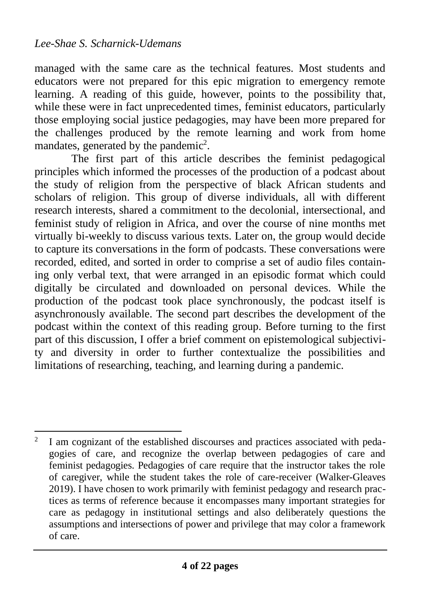managed with the same care as the technical features. Most students and educators were not prepared for this epic migration to emergency remote learning. A reading of this guide, however, points to the possibility that, while these were in fact unprecedented times, feminist educators, particularly those employing social justice pedagogies, may have been more prepared for the challenges produced by the remote learning and work from home mandates, generated by the pandemic<sup>2</sup>.

The first part of this article describes the feminist pedagogical principles which informed the processes of the production of a podcast about the study of religion from the perspective of black African students and scholars of religion. This group of diverse individuals, all with different research interests, shared a commitment to the decolonial, intersectional, and feminist study of religion in Africa, and over the course of nine months met virtually bi-weekly to discuss various texts. Later on, the group would decide to capture its conversations in the form of podcasts. These conversations were recorded, edited, and sorted in order to comprise a set of audio files containing only verbal text, that were arranged in an episodic format which could digitally be circulated and downloaded on personal devices. While the production of the podcast took place synchronously, the podcast itself is asynchronously available. The second part describes the development of the podcast within the context of this reading group. Before turning to the first part of this discussion, I offer a brief comment on epistemological subjectivity and diversity in order to further contextualize the possibilities and limitations of researching, teaching, and learning during a pandemic.

<sup>2</sup> I am cognizant of the established discourses and practices associated with pedagogies of care, and recognize the overlap between pedagogies of care and feminist pedagogies. Pedagogies of care require that the instructor takes the role of caregiver, while the student takes the role of care-receiver (Walker-Gleaves 2019). I have chosen to work primarily with feminist pedagogy and research practices as terms of reference because it encompasses many important strategies for care as pedagogy in institutional settings and also deliberately questions the assumptions and intersections of power and privilege that may color a framework of care.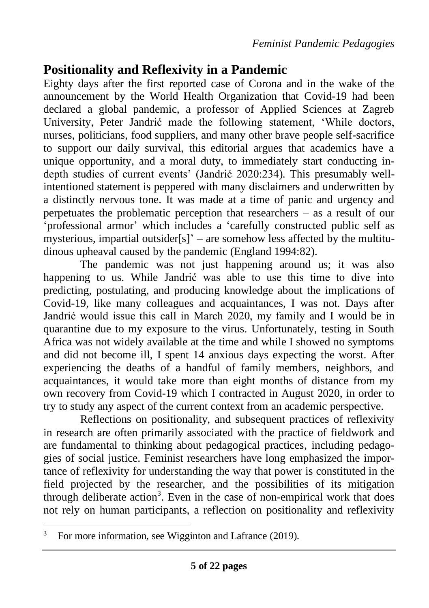# **Positionality and Reflexivity in a Pandemic**

Eighty days after the first reported case of Corona and in the wake of the announcement by the World Health Organization that Covid-19 had been declared a global pandemic, a professor of Applied Sciences at Zagreb University, Peter Jandrić made the following statement, 'While doctors, nurses, politicians, food suppliers, and many other brave people self-sacrifice to support our daily survival, this editorial argues that academics have a unique opportunity, and a moral duty, to immediately start conducting indepth studies of current events' (Jandrić 2020:234). This presumably wellintentioned statement is peppered with many disclaimers and underwritten by a distinctly nervous tone. It was made at a time of panic and urgency and perpetuates the problematic perception that researchers – as a result of our 'professional armor' which includes a 'carefully constructed public self as mysterious, impartial outsider[s]' – are somehow less affected by the multitudinous upheaval caused by the pandemic (England 1994:82).

The pandemic was not just happening around us; it was also happening to us. While Jandrić was able to use this time to dive into predicting, postulating, and producing knowledge about the implications of Covid-19, like many colleagues and acquaintances, I was not. Days after Jandrić would issue this call in March 2020, my family and I would be in quarantine due to my exposure to the virus. Unfortunately, testing in South Africa was not widely available at the time and while I showed no symptoms and did not become ill, I spent 14 anxious days expecting the worst. After experiencing the deaths of a handful of family members, neighbors, and acquaintances, it would take more than eight months of distance from my own recovery from Covid-19 which I contracted in August 2020, in order to try to study any aspect of the current context from an academic perspective.

Reflections on positionality, and subsequent practices of reflexivity in research are often primarily associated with the practice of fieldwork and are fundamental to thinking about pedagogical practices, including pedagogies of social justice. Feminist researchers have long emphasized the importance of reflexivity for understanding the way that power is constituted in the field projected by the researcher, and the possibilities of its mitigation through deliberate  $action<sup>3</sup>$ . Even in the case of non-empirical work that does not rely on human participants, a reflection on positionality and reflexivity

 $3$  For more information, see Wigginton and Lafrance (2019).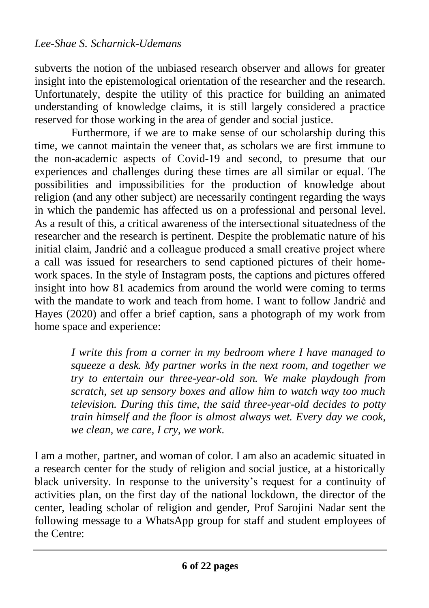subverts the notion of the unbiased research observer and allows for greater insight into the epistemological orientation of the researcher and the research. Unfortunately, despite the utility of this practice for building an animated understanding of knowledge claims, it is still largely considered a practice reserved for those working in the area of gender and social justice.

Furthermore, if we are to make sense of our scholarship during this time, we cannot maintain the veneer that, as scholars we are first immune to the non-academic aspects of Covid-19 and second, to presume that our experiences and challenges during these times are all similar or equal. The possibilities and impossibilities for the production of knowledge about religion (and any other subject) are necessarily contingent regarding the ways in which the pandemic has affected us on a professional and personal level. As a result of this, a critical awareness of the intersectional situatedness of the researcher and the research is pertinent. Despite the problematic nature of his initial claim, Jandrić and a colleague produced a small creative project where a call was issued for researchers to send captioned pictures of their homework spaces. In the style of Instagram posts, the captions and pictures offered insight into how 81 academics from around the world were coming to terms with the mandate to work and teach from home. I want to follow Jandrić and Hayes (2020) and offer a brief caption, sans a photograph of my work from home space and experience:

> *I write this from a corner in my bedroom where I have managed to squeeze a desk. My partner works in the next room, and together we try to entertain our three-year-old son. We make playdough from scratch, set up sensory boxes and allow him to watch way too much television. During this time, the said three-year-old decides to potty train himself and the floor is almost always wet. Every day we cook, we clean, we care, I cry, we work*.

I am a mother, partner, and woman of color. I am also an academic situated in a research center for the study of religion and social justice, at a historically black university. In response to the university's request for a continuity of activities plan, on the first day of the national lockdown, the director of the center, leading scholar of religion and gender, Prof Sarojini Nadar sent the following message to a WhatsApp group for staff and student employees of the Centre: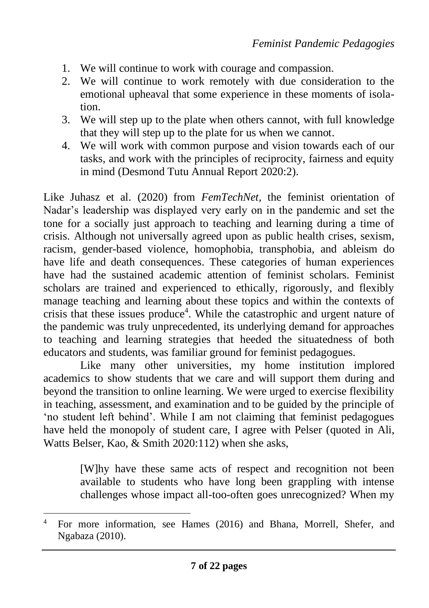- 1. We will continue to work with courage and compassion.
- 2. We will continue to work remotely with due consideration to the emotional upheaval that some experience in these moments of isolation.
- 3. We will step up to the plate when others cannot, with full knowledge that they will step up to the plate for us when we cannot.
- 4. We will work with common purpose and vision towards each of our tasks, and work with the principles of reciprocity, fairness and equity in mind (Desmond Tutu Annual Report 2020:2).

Like Juhasz et al. (2020) from *FemTechNet*, the feminist orientation of Nadar's leadership was displayed very early on in the pandemic and set the tone for a socially just approach to teaching and learning during a time of crisis. Although not universally agreed upon as public health crises, sexism, racism, gender-based violence, homophobia, transphobia, and ableism do have life and death consequences. These categories of human experiences have had the sustained academic attention of feminist scholars. Feminist scholars are trained and experienced to ethically, rigorously, and flexibly manage teaching and learning about these topics and within the contexts of crisis that these issues produce<sup>4</sup>. While the catastrophic and urgent nature of the pandemic was truly unprecedented, its underlying demand for approaches to teaching and learning strategies that heeded the situatedness of both educators and students, was familiar ground for feminist pedagogues.

Like many other universities, my home institution implored academics to show students that we care and will support them during and beyond the transition to online learning. We were urged to exercise flexibility in teaching, assessment, and examination and to be guided by the principle of 'no student left behind'. While I am not claiming that feminist pedagogues have held the monopoly of student care. I agree with Pelser (quoted in Ali, Watts Belser, Kao, & Smith 2020:112) when she asks,

> [W]hy have these same acts of respect and recognition not been available to students who have long been grappling with intense challenges whose impact all-too-often goes unrecognized? When my

<sup>4</sup> For more information, see Hames (2016) and Bhana, Morrell, Shefer, and Ngabaza (2010).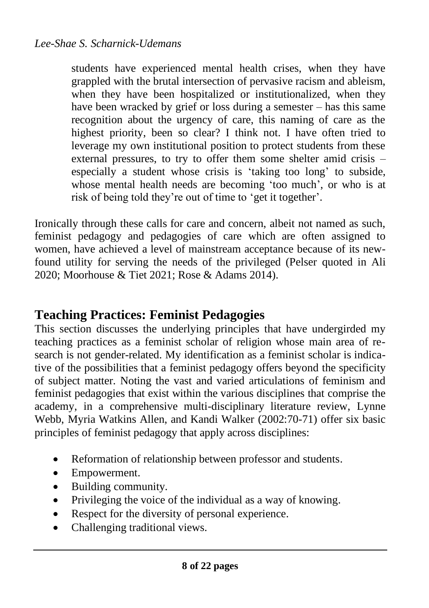students have experienced mental health crises, when they have grappled with the brutal intersection of pervasive racism and ableism, when they have been hospitalized or institutionalized, when they have been wracked by grief or loss during a semester – has this same recognition about the urgency of care, this naming of care as the highest priority, been so clear? I think not. I have often tried to leverage my own institutional position to protect students from these external pressures, to try to offer them some shelter amid crisis – especially a student whose crisis is 'taking too long' to subside, whose mental health needs are becoming 'too much', or who is at risk of being told they're out of time to 'get it together'.

Ironically through these calls for care and concern, albeit not named as such, feminist pedagogy and pedagogies of care which are often assigned to women, have achieved a level of mainstream acceptance because of its newfound utility for serving the needs of the privileged (Pelser quoted in Ali 2020; Moorhouse & Tiet 2021; Rose & Adams 2014).

## **Teaching Practices: Feminist Pedagogies**

This section discusses the underlying principles that have undergirded my teaching practices as a feminist scholar of religion whose main area of research is not gender-related. My identification as a feminist scholar is indicative of the possibilities that a feminist pedagogy offers beyond the specificity of subject matter. Noting the vast and varied articulations of feminism and feminist pedagogies that exist within the various disciplines that comprise the academy, in a comprehensive multi-disciplinary literature review, Lynne Webb, Myria Watkins Allen, and Kandi Walker (2002:70-71) offer six basic principles of feminist pedagogy that apply across disciplines:

- Reformation of relationship between professor and students.
- Empowerment.
- Building community.
- Privileging the voice of the individual as a way of knowing.
- Respect for the diversity of personal experience.
- Challenging traditional views.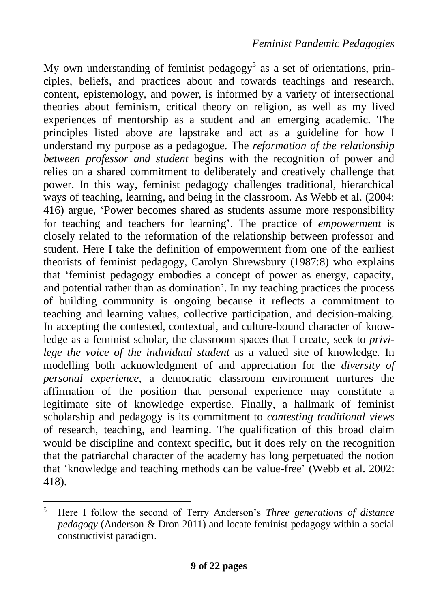My own understanding of feminist pedagogy<sup>5</sup> as a set of orientations, principles, beliefs, and practices about and towards teachings and research, content, epistemology, and power, is informed by a variety of intersectional theories about feminism, critical theory on religion, as well as my lived experiences of mentorship as a student and an emerging academic. The principles listed above are lapstrake and act as a guideline for how I understand my purpose as a pedagogue. The *reformation of the relationship between professor and student* begins with the recognition of power and relies on a shared commitment to deliberately and creatively challenge that power. In this way, feminist pedagogy challenges traditional, hierarchical ways of teaching, learning, and being in the classroom. As Webb et al. (2004: 416) argue, 'Power becomes shared as students assume more responsibility for teaching and teachers for learning'. The practice of *empowerment* is closely related to the reformation of the relationship between professor and student. Here I take the definition of empowerment from one of the earliest theorists of feminist pedagogy, Carolyn Shrewsbury (1987:8) who explains that 'feminist pedagogy embodies a concept of power as energy, capacity, and potential rather than as domination'. In my teaching practices the process of building community is ongoing because it reflects a commitment to teaching and learning values, collective participation, and decision-making. In accepting the contested, contextual, and culture-bound character of knowledge as a feminist scholar, the classroom spaces that I create, seek to *privilege the voice of the individual student* as a valued site of knowledge. In modelling both acknowledgment of and appreciation for the *diversity of personal experience,* a democratic classroom environment nurtures the affirmation of the position that personal experience may constitute a legitimate site of knowledge expertise. Finally, a hallmark of feminist scholarship and pedagogy is its commitment to *contesting traditional views*  of research, teaching, and learning. The qualification of this broad claim would be discipline and context specific, but it does rely on the recognition that the patriarchal character of the academy has long perpetuated the notion that 'knowledge and teaching methods can be value-free' (Webb et al. 2002: 418).

<sup>5</sup> Here I follow the second of Terry Anderson's *Three generations of distance pedagogy* (Anderson & Dron 2011) and locate feminist pedagogy within a social constructivist paradigm.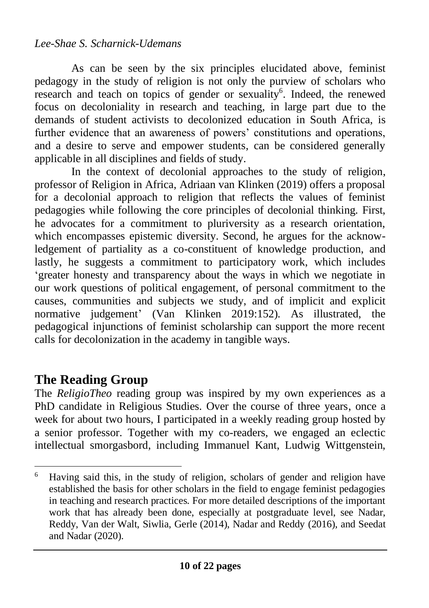#### *Lee-Shae S. Scharnick-Udemans*

As can be seen by the six principles elucidated above, feminist pedagogy in the study of religion is not only the purview of scholars who research and teach on topics of gender or sexuality<sup>6</sup>. Indeed, the renewed focus on decoloniality in research and teaching, in large part due to the demands of student activists to decolonized education in South Africa, is further evidence that an awareness of powers' constitutions and operations, and a desire to serve and empower students, can be considered generally applicable in all disciplines and fields of study.

In the context of decolonial approaches to the study of religion, professor of Religion in Africa, Adriaan van Klinken (2019) offers a proposal for a decolonial approach to religion that reflects the values of feminist pedagogies while following the core principles of decolonial thinking. First, he advocates for a commitment to pluriversity as a research orientation, which encompasses epistemic diversity. Second, he argues for the acknowledgement of partiality as a co-constituent of knowledge production, and lastly, he suggests a commitment to participatory work, which includes 'greater honesty and transparency about the ways in which we negotiate in our work questions of political engagement, of personal commitment to the causes, communities and subjects we study, and of implicit and explicit normative judgement' (Van Klinken 2019:152). As illustrated, the pedagogical injunctions of feminist scholarship can support the more recent calls for decolonization in the academy in tangible ways.

## **The Reading Group**

The *ReligioTheo* reading group was inspired by my own experiences as a PhD candidate in Religious Studies. Over the course of three years, once a week for about two hours, I participated in a weekly reading group hosted by a senior professor. Together with my co-readers, we engaged an eclectic intellectual smorgasbord, including Immanuel Kant, Ludwig Wittgenstein,

<sup>&</sup>lt;sup>6</sup> Having said this, in the study of religion, scholars of gender and religion have established the basis for other scholars in the field to engage feminist pedagogies in teaching and research practices. For more detailed descriptions of the important work that has already been done, especially at postgraduate level, see Nadar, Reddy, Van der Walt, Siwlia, Gerle (2014), Nadar and Reddy (2016), and Seedat and Nadar (2020).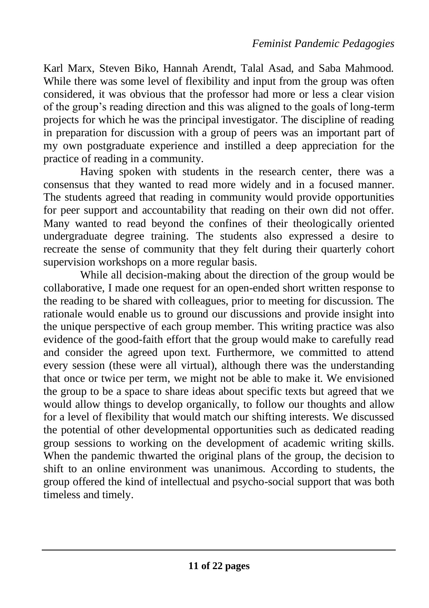Karl Marx, Steven Biko, Hannah Arendt, Talal Asad, and Saba Mahmood. While there was some level of flexibility and input from the group was often considered, it was obvious that the professor had more or less a clear vision of the group's reading direction and this was aligned to the goals of long-term projects for which he was the principal investigator. The discipline of reading in preparation for discussion with a group of peers was an important part of my own postgraduate experience and instilled a deep appreciation for the practice of reading in a community.

Having spoken with students in the research center, there was a consensus that they wanted to read more widely and in a focused manner. The students agreed that reading in community would provide opportunities for peer support and accountability that reading on their own did not offer. Many wanted to read beyond the confines of their theologically oriented undergraduate degree training. The students also expressed a desire to recreate the sense of community that they felt during their quarterly cohort supervision workshops on a more regular basis.

While all decision-making about the direction of the group would be collaborative, I made one request for an open-ended short written response to the reading to be shared with colleagues, prior to meeting for discussion. The rationale would enable us to ground our discussions and provide insight into the unique perspective of each group member. This writing practice was also evidence of the good-faith effort that the group would make to carefully read and consider the agreed upon text. Furthermore, we committed to attend every session (these were all virtual), although there was the understanding that once or twice per term, we might not be able to make it. We envisioned the group to be a space to share ideas about specific texts but agreed that we would allow things to develop organically, to follow our thoughts and allow for a level of flexibility that would match our shifting interests. We discussed the potential of other developmental opportunities such as dedicated reading group sessions to working on the development of academic writing skills. When the pandemic thwarted the original plans of the group, the decision to shift to an online environment was unanimous. According to students, the group offered the kind of intellectual and psycho-social support that was both timeless and timely.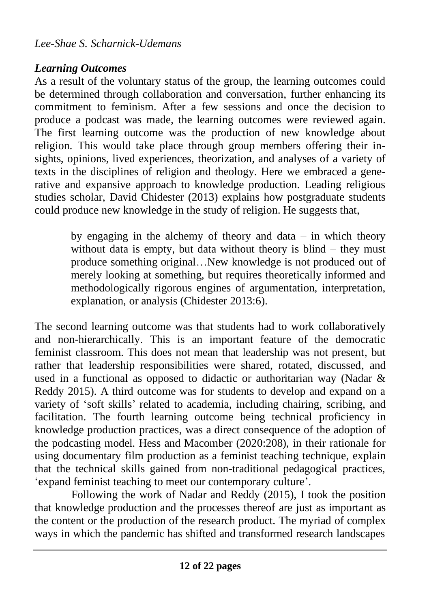### *Learning Outcomes*

As a result of the voluntary status of the group, the learning outcomes could be determined through collaboration and conversation, further enhancing its commitment to feminism. After a few sessions and once the decision to produce a podcast was made, the learning outcomes were reviewed again. The first learning outcome was the production of new knowledge about religion. This would take place through group members offering their insights, opinions, lived experiences, theorization, and analyses of a variety of texts in the disciplines of religion and theology. Here we embraced a generative and expansive approach to knowledge production. Leading religious studies scholar, David Chidester (2013) explains how postgraduate students could produce new knowledge in the study of religion. He suggests that,

> by engaging in the alchemy of theory and data – in which theory without data is empty, but data without theory is blind – they must produce something original…New knowledge is not produced out of merely looking at something, but requires theoretically informed and methodologically rigorous engines of argumentation, interpretation, explanation, or analysis (Chidester 2013:6).

The second learning outcome was that students had to work collaboratively and non-hierarchically. This is an important feature of the democratic feminist classroom. This does not mean that leadership was not present, but rather that leadership responsibilities were shared, rotated, discussed, and used in a functional as opposed to didactic or authoritarian way (Nadar & Reddy 2015). A third outcome was for students to develop and expand on a variety of 'soft skills' related to academia, including chairing, scribing, and facilitation. The fourth learning outcome being technical proficiency in knowledge production practices, was a direct consequence of the adoption of the podcasting model. Hess and Macomber (2020:208), in their rationale for using documentary film production as a feminist teaching technique, explain that the technical skills gained from non-traditional pedagogical practices, 'expand feminist teaching to meet our contemporary culture'.

Following the work of Nadar and Reddy (2015), I took the position that knowledge production and the processes thereof are just as important as the content or the production of the research product. The myriad of complex ways in which the pandemic has shifted and transformed research landscapes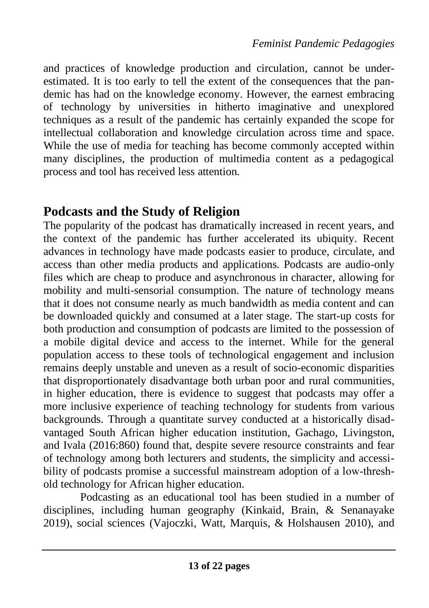and practices of knowledge production and circulation, cannot be underestimated. It is too early to tell the extent of the consequences that the pandemic has had on the knowledge economy. However, the earnest embracing of technology by universities in hitherto imaginative and unexplored techniques as a result of the pandemic has certainly expanded the scope for intellectual collaboration and knowledge circulation across time and space. While the use of media for teaching has become commonly accepted within many disciplines, the production of multimedia content as a pedagogical process and tool has received less attention.

## **Podcasts and the Study of Religion**

The popularity of the podcast has dramatically increased in recent years, and the context of the pandemic has further accelerated its ubiquity. Recent advances in technology have made podcasts easier to produce, circulate, and access than other media products and applications. Podcasts are audio-only files which are cheap to produce and asynchronous in character, allowing for mobility and multi-sensorial consumption. The nature of technology means that it does not consume nearly as much bandwidth as media content and can be downloaded quickly and consumed at a later stage. The start-up costs for both production and consumption of podcasts are limited to the possession of a mobile digital device and access to the internet. While for the general population access to these tools of technological engagement and inclusion remains deeply unstable and uneven as a result of socio-economic disparities that disproportionately disadvantage both urban poor and rural communities, in higher education, there is evidence to suggest that podcasts may offer a more inclusive experience of teaching technology for students from various backgrounds. Through a quantitate survey conducted at a historically disadvantaged South African higher education institution, Gachago, Livingston, and Ivala (2016:860) found that, despite severe resource constraints and fear of technology among both lecturers and students, the simplicity and accessibility of podcasts promise a successful mainstream adoption of a low‐threshold technology for African higher education.

Podcasting as an educational tool has been studied in a number of disciplines, including human geography (Kinkaid, Brain, & Senanayake 2019), social sciences (Vajoczki, Watt, Marquis, & Holshausen 2010), and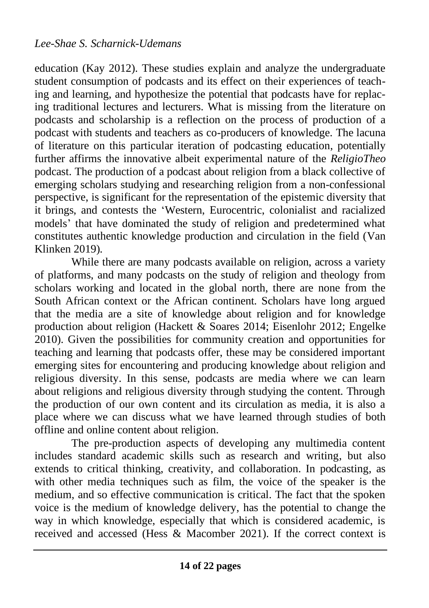education (Kay 2012). These studies explain and analyze the undergraduate student consumption of podcasts and its effect on their experiences of teaching and learning, and hypothesize the potential that podcasts have for replacing traditional lectures and lecturers. What is missing from the literature on podcasts and scholarship is a reflection on the process of production of a podcast with students and teachers as co-producers of knowledge. The lacuna of literature on this particular iteration of podcasting education, potentially further affirms the innovative albeit experimental nature of the *ReligioTheo* podcast. The production of a podcast about religion from a black collective of emerging scholars studying and researching religion from a non-confessional perspective, is significant for the representation of the epistemic diversity that it brings, and contests the 'Western, Eurocentric, colonialist and racialized models' that have dominated the study of religion and predetermined what constitutes authentic knowledge production and circulation in the field (Van Klinken 2019).

While there are many podcasts available on religion, across a variety of platforms, and many podcasts on the study of religion and theology from scholars working and located in the global north, there are none from the South African context or the African continent. Scholars have long argued that the media are a site of knowledge about religion and for knowledge production about religion (Hackett & Soares 2014; Eisenlohr 2012; Engelke 2010). Given the possibilities for community creation and opportunities for teaching and learning that podcasts offer, these may be considered important emerging sites for encountering and producing knowledge about religion and religious diversity. In this sense, podcasts are media where we can learn about religions and religious diversity through studying the content. Through the production of our own content and its circulation as media, it is also a place where we can discuss what we have learned through studies of both offline and online content about religion.

The pre-production aspects of developing any multimedia content includes standard academic skills such as research and writing, but also extends to critical thinking, creativity, and collaboration. In podcasting, as with other media techniques such as film, the voice of the speaker is the medium, and so effective communication is critical. The fact that the spoken voice is the medium of knowledge delivery, has the potential to change the way in which knowledge, especially that which is considered academic, is received and accessed (Hess & Macomber 2021). If the correct context is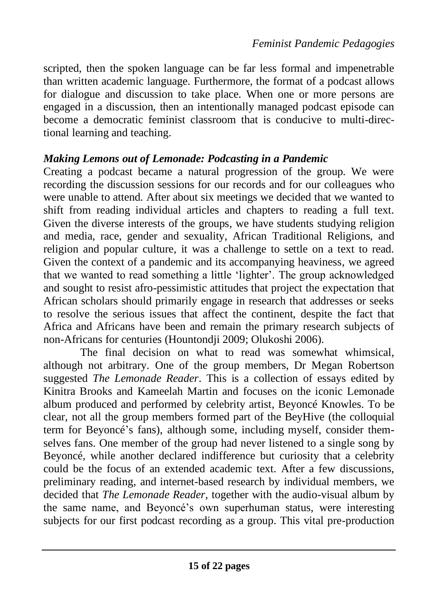scripted, then the spoken language can be far less formal and impenetrable than written academic language. Furthermore, the format of a podcast allows for dialogue and discussion to take place. When one or more persons are engaged in a discussion, then an intentionally managed podcast episode can become a democratic feminist classroom that is conducive to multi-directional learning and teaching.

#### *Making Lemons out of Lemonade: Podcasting in a Pandemic*

Creating a podcast became a natural progression of the group. We were recording the discussion sessions for our records and for our colleagues who were unable to attend. After about six meetings we decided that we wanted to shift from reading individual articles and chapters to reading a full text. Given the diverse interests of the groups, we have students studying religion and media, race, gender and sexuality, African Traditional Religions, and religion and popular culture, it was a challenge to settle on a text to read. Given the context of a pandemic and its accompanying heaviness, we agreed that we wanted to read something a little 'lighter'. The group acknowledged and sought to resist afro-pessimistic attitudes that project the expectation that African scholars should primarily engage in research that addresses or seeks to resolve the serious issues that affect the continent, despite the fact that Africa and Africans have been and remain the primary research subjects of non-Africans for centuries (Hountondji 2009; Olukoshi 2006).

The final decision on what to read was somewhat whimsical, although not arbitrary. One of the group members, Dr Megan Robertson suggested *The Lemonade Reader*. This is a collection of essays edited by Kinitra Brooks and Kameelah Martin and focuses on the iconic Lemonade album produced and performed by celebrity artist, Beyoncé Knowles. To be clear, not all the group members formed part of the BeyHive (the colloquial term for Beyoncé's fans), although some, including myself, consider themselves fans. One member of the group had never listened to a single song by Beyoncé, while another declared indifference but curiosity that a celebrity could be the focus of an extended academic text. After a few discussions, preliminary reading, and internet-based research by individual members, we decided that *The Lemonade Reader*, together with the audio-visual album by the same name, and Beyoncé's own superhuman status, were interesting subjects for our first podcast recording as a group. This vital pre-production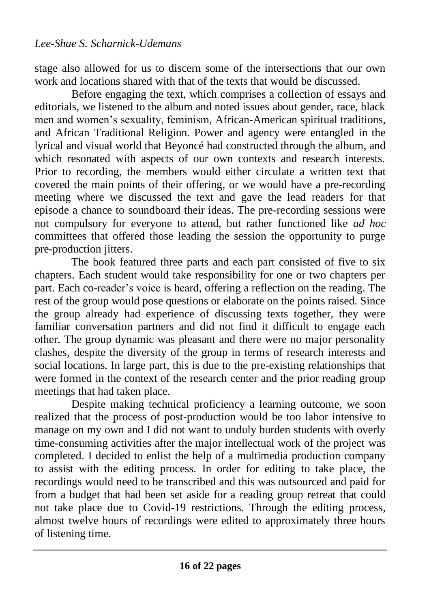stage also allowed for us to discern some of the intersections that our own work and locations shared with that of the texts that would be discussed.

Before engaging the text, which comprises a collection of essays and editorials, we listened to the album and noted issues about gender, race, black men and women's sexuality, feminism, African-American spiritual traditions, and African Traditional Religion. Power and agency were entangled in the lyrical and visual world that Beyoncé had constructed through the album, and which resonated with aspects of our own contexts and research interests. Prior to recording, the members would either circulate a written text that covered the main points of their offering, or we would have a pre-recording meeting where we discussed the text and gave the lead readers for that episode a chance to soundboard their ideas. The pre-recording sessions were not compulsory for everyone to attend, but rather functioned like *ad hoc*  committees that offered those leading the session the opportunity to purge pre-production jitters.

The book featured three parts and each part consisted of five to six chapters. Each student would take responsibility for one or two chapters per part. Each co-reader's voice is heard, offering a reflection on the reading. The rest of the group would pose questions or elaborate on the points raised. Since the group already had experience of discussing texts together, they were familiar conversation partners and did not find it difficult to engage each other. The group dynamic was pleasant and there were no major personality clashes, despite the diversity of the group in terms of research interests and social locations. In large part, this is due to the pre-existing relationships that were formed in the context of the research center and the prior reading group meetings that had taken place.

Despite making technical proficiency a learning outcome, we soon realized that the process of post-production would be too labor intensive to manage on my own and I did not want to unduly burden students with overly time-consuming activities after the major intellectual work of the project was completed. I decided to enlist the help of a multimedia production company to assist with the editing process. In order for editing to take place, the recordings would need to be transcribed and this was outsourced and paid for from a budget that had been set aside for a reading group retreat that could not take place due to Covid-19 restrictions. Through the editing process, almost twelve hours of recordings were edited to approximately three hours of listening time.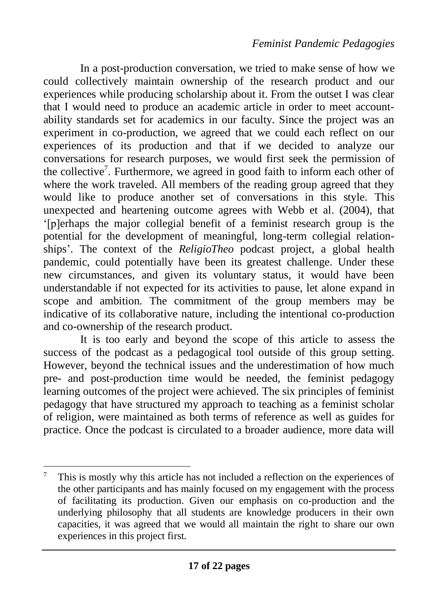In a post-production conversation, we tried to make sense of how we could collectively maintain ownership of the research product and our experiences while producing scholarship about it. From the outset I was clear that I would need to produce an academic article in order to meet accountability standards set for academics in our faculty. Since the project was an experiment in co-production, we agreed that we could each reflect on our experiences of its production and that if we decided to analyze our conversations for research purposes, we would first seek the permission of the collective<sup>7</sup>. Furthermore, we agreed in good faith to inform each other of where the work traveled. All members of the reading group agreed that they would like to produce another set of conversations in this style. This unexpected and heartening outcome agrees with Webb et al. (2004), that '[p]erhaps the major collegial benefit of a feminist research group is the potential for the development of meaningful, long-term collegial relationships'. The context of the *ReligioTheo* podcast project, a global health pandemic, could potentially have been its greatest challenge. Under these new circumstances, and given its voluntary status, it would have been understandable if not expected for its activities to pause, let alone expand in scope and ambition. The commitment of the group members may be indicative of its collaborative nature, including the intentional co-production and co-ownership of the research product.

It is too early and beyond the scope of this article to assess the success of the podcast as a pedagogical tool outside of this group setting. However, beyond the technical issues and the underestimation of how much pre- and post-production time would be needed, the feminist pedagogy learning outcomes of the project were achieved. The six principles of feminist pedagogy that have structured my approach to teaching as a feminist scholar of religion, were maintained as both terms of reference as well as guides for practice. Once the podcast is circulated to a broader audience, more data will

 $7$  This is mostly why this article has not included a reflection on the experiences of the other participants and has mainly focused on my engagement with the process of facilitating its production. Given our emphasis on co-production and the underlying philosophy that all students are knowledge producers in their own capacities, it was agreed that we would all maintain the right to share our own experiences in this project first.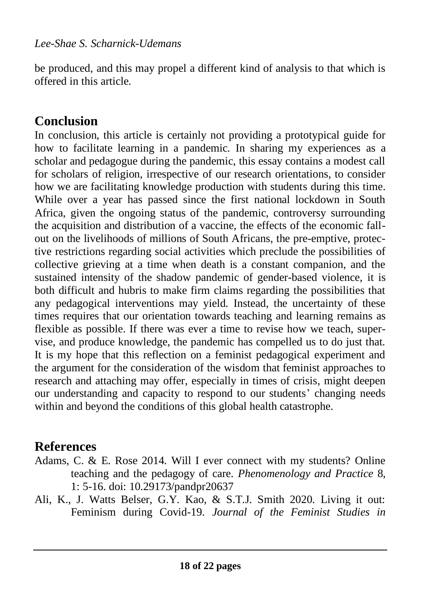be produced, and this may propel a different kind of analysis to that which is offered in this article.

# **Conclusion**

In conclusion, this article is certainly not providing a prototypical guide for how to facilitate learning in a pandemic. In sharing my experiences as a scholar and pedagogue during the pandemic, this essay contains a modest call for scholars of religion, irrespective of our research orientations, to consider how we are facilitating knowledge production with students during this time. While over a year has passed since the first national lockdown in South Africa, given the ongoing status of the pandemic, controversy surrounding the acquisition and distribution of a vaccine, the effects of the economic fallout on the livelihoods of millions of South Africans, the pre-emptive, protective restrictions regarding social activities which preclude the possibilities of collective grieving at a time when death is a constant companion, and the sustained intensity of the shadow pandemic of gender-based violence, it is both difficult and hubris to make firm claims regarding the possibilities that any pedagogical interventions may yield. Instead, the uncertainty of these times requires that our orientation towards teaching and learning remains as flexible as possible. If there was ever a time to revise how we teach, supervise, and produce knowledge, the pandemic has compelled us to do just that. It is my hope that this reflection on a feminist pedagogical experiment and the argument for the consideration of the wisdom that feminist approaches to research and attaching may offer, especially in times of crisis, might deepen our understanding and capacity to respond to our students' changing needs within and beyond the conditions of this global health catastrophe.

# **References**

- Adams, C. & E. Rose 2014. Will I ever connect with my students? Online teaching and the pedagogy of care. *Phenomenology and Practice* 8, 1: 5-16. doi: [10.29173/pandpr20637](http://dx.doi.org/10.29173/pandpr20637)
- Ali, K., J. Watts Belser, G.Y. Kao, & S.T.J. Smith 2020. Living it out: Feminism during Covid-19. *Journal of the Feminist Studies in*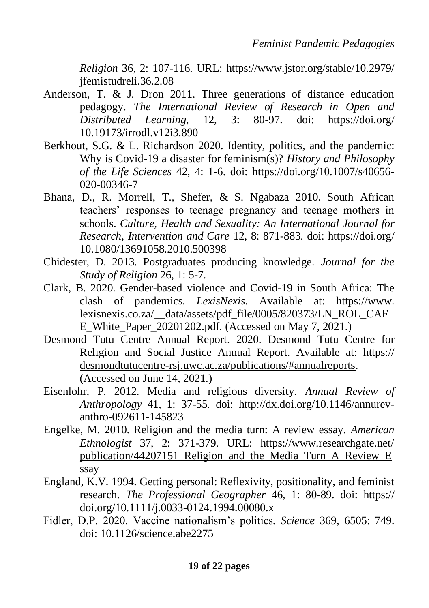*Religion* 36, 2: 107-116. URL: https://www.jstor.org/stable/10.2979/ jfemistudreli.36.2.08

- Anderson, T. & J. Dron 2011. Three generations of distance education pedagogy. *The International Review of Research in Open and Distributed Learning*, 12, 3: 80-97. doi: https://doi.org/ 10.19173/irrodl.v12i3.890
- Berkhout, S.G. & L. Richardson 2020. Identity, politics, and the pandemic: Why is Covid-19 a disaster for feminism(s)? *History and Philosophy of the Life Sciences* 42, 4: 1-6. doi: [https://doi.org/10.1007/s40656-](https://doi.org/10.1007/s40656-020-00346-7) [020-00346-7](https://doi.org/10.1007/s40656-020-00346-7)
- Bhana, D., R. Morrell, T., Shefer, & S. Ngabaza 2010. South African teachers' responses to teenage pregnancy and teenage mothers in schools. *Culture, Health and Sexuality: An International Journal for Research, Intervention and Care* 12, 8: 871-883. doi: https://doi.org/ 10.1080/13691058.2010.500398
- Chidester, D. 2013. Postgraduates producing knowledge. *Journal for the Study of Religion* 26, 1: 5-7.
- Clark, B. 2020. Gender-based violence and Covid-19 in South Africa: The clash of pandemics. *LexisNexis*. Available at[:](https://www.lexisnexis.co.za/__data/assets/pdf_file/0005/820373/LN_ROL_CAFE_White_Paper_20201202.pdf) https://www. lexisnexis.co.za/\_\_data/assets/pdf\_file/0005/820373/LN\_ROL\_CAF E\_White\_Paper\_20201202.pdf. (Accessed on May 7, 2021.)
- Desmond Tutu Centre Annual Report. 2020. Desmond Tutu Centre for Religion and Social Justice Annual Report. Available at: https:// desmondtutucentre-rsj.uwc.ac.za/publications/#annualreports. (Accessed on June 14, 2021.)
- Eisenlohr, P. 2012. Media and religious diversity. *Annual Review of Anthropology* 41, 1: 37-55. doi: [http://dx.doi.org/10.1146/annurev](http://dx.doi.org/10.1146/annurev-anthro-092611-145823)[anthro-092611-145823](http://dx.doi.org/10.1146/annurev-anthro-092611-145823)
- Engelke, M. 2010. Religion and the media turn: A review essay. *American Ethnologist* 37, 2: 371-379. URL: https://www.researchgate.net/ publication/44207151\_Religion\_and\_the\_Media\_Turn\_A\_Review\_E ssay
- England, K.V. 1994. Getting personal: Reflexivity, positionality, and feminist research. *The Professional Geographer* 46, 1: 80-89. doi[:](https://doi.org/10.1111/j.0033-0124.1994.00080.x) https:// doi.org/10.1111/j.0033-0124.1994.00080.x
- Fidler, D.P. 2020. Vaccine nationalism's politics. *Science* 369, 6505: 749. doi:  $10.1126$ /science abe $2275$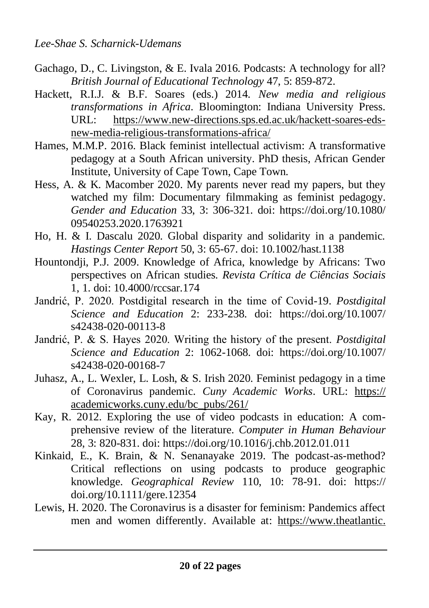- Gachago, D., C. Livingston, & E. Ivala 2016. Podcasts: A technology for all? *British Journal of Educational Technology* 47, 5: 859-872.
- Hackett, R.I.J. & B.F. Soares (eds.) 2014. *New media and religious transformations in Africa*. Bloomington: Indiana University Press. URL[:](https://www.new-directions.sps.ed.ac.uk/hackett-soares-eds-new-media-religious-transformations-africa/) https://www.new-directions.sps.ed.ac.uk/hackett-soares-edsnew-media-religious-transformations-africa/
- Hames, M.M.P. 2016. Black feminist intellectual activism: A transformative pedagogy at a South African university. PhD thesis, African Gender Institute, University of Cape Town, Cape Town.
- Hess, A. & K. Macomber 2020. My parents never read my papers, but they watched my film: Documentary filmmaking as feminist pedagogy. *Gender and Education* 33, 3: 306-321. doi: https://doi.org/10.1080/ 09540253.2020.1763921
- Ho, H. & I. Dascalu 2020. Global disparity and solidarity in a pandemic. *Hastings Center Report* 50, 3: 65-67. doi: 10.1002/hast.1138
- Hountondji, P.J. 2009. Knowledge of Africa, knowledge by Africans: Two perspectives on African studies. *Revista Crítica de Ciências Sociais*  1, 1. doi: 10.4000/rccsar.174
- Jandrić, P. 2020. Postdigital research in the time of Covid-19. *Postdigital Science and Education* 2: 233-238. doi: https://doi.org/10.1007/ s42438-020-00113-8
- Jandrić, P. & S. Hayes 2020. Writing the history of the present. *Postdigital Science and Education* 2: 1062-1068. doi: https://doi.org/10.1007/ s42438-020-00168-7
- Juhasz, A., L. Wexler, L. Losh, & S. Irish 2020. Feminist pedagogy in a time of Coronavirus pandemic. *Cuny Academic Works*. URL: https:// academicworks.cuny.edu/bc\_pubs/261/
- Kay, R. 2012. Exploring the use of video podcasts in education: A comprehensive review of the literature. *Computer in Human Behaviour*  28, 3: 820-831. doi: https://doi.org/10.1016/j.chb.2012.01.011
- Kinkaid, E., K. Brain, & N. Senanayake 2019. The podcast-as-method? Critical reflections on using podcasts to produce geographic knowledge. *Geographical Review* 110, 10: 78-91. doi: https:// doi.org/10.1111/gere.12354
- Lewis, H. 2020. The Coronavirus is a disaster for feminism: Pandemics affect men and women differently. Available at[:](https://www.theatlantic.com/international/archive/2020/03/feminism-womens-rights-coronavirus-covid19/608302/) https://www.theatlantic.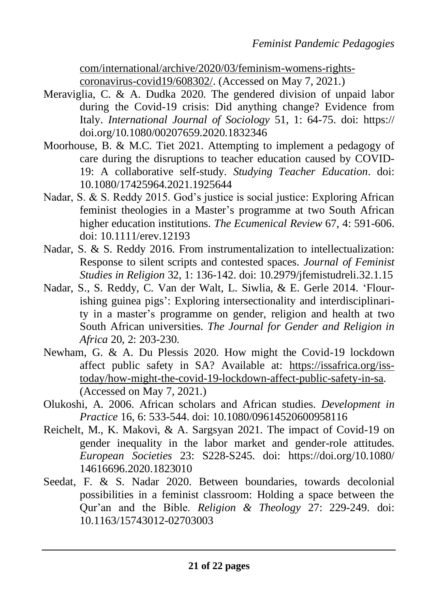com/international/archive/2020/03/feminism-womens-rightscoronavirus-covid19/608302/. (Accessed on May 7, 2021.)

- Meraviglia, C. & A. Dudka 2020. The gendered division of unpaid labor during the Covid-19 crisis: Did anything change? Evidence from Italy. *International Journal of Sociology* 51, 1: 64-75. doi: https:// doi.org/10.1080/00207659.2020.1832346
- Moorhouse, B. & M.C. Tiet 2021. Attempting to implement a pedagogy of care during the disruptions to teacher education caused by COVID-19: A collaborative self-study. *Studying Teacher Education*. doi: [10.1080/17425964.2021.1925644](https://doi.org/10.1080/17425964.2021.1925644)
- Nadar, S. & S. Reddy 2015. God's justice is social justice: Exploring African feminist theologies in a Master's programme at two South African higher education institutions. *The Ecumenical Review* 67, 4: 591-606. doi: 10.1111/erev.12193
- Nadar, S. & S. Reddy 2016. From instrumentalization to intellectualization: Response to silent scripts and contested spaces. *Journal of Feminist Studies in Religion* 32, 1: 136-142. doi: 10.2979/jfemistudreli.32.1.15
- Nadar, S., S. Reddy, C. Van der Walt, L. Siwlia, & E. Gerle 2014. 'Flourishing guinea pigs': Exploring intersectionality and interdisciplinarity in a master's programme on gender, religion and health at two South African universities. *The Journal for Gender and Religion in Africa* 20, 2: 203-230.
- Newham, G. & A. Du Plessis 2020. How might the Covid-19 lockdown affect public safety in SA? Available at[:](https://issafrica.org/iss-today/how-might-the-covid-19-lockdown-affect-public-safety-in-sa) https://issafrica.org/isstoday/how-might-the-covid-19-lockdown-affect-public-safety-in-sa. (Accessed on May 7, 2021.)
- Olukoshi, A. 2006. African scholars and African studies. *Development in Practice* 16, 6: 533-544. doi: 10.1080/09614520600958116
- Reichelt, M., K. Makovi, & A. Sargsyan 2021. The impact of Covid-19 on gender inequality in the labor market and gender-role attitudes. *European Societies* 23: S228-S245. doi: https://doi.org/10.1080/ 14616696.2020.1823010
- Seedat, F. & S. Nadar 2020. Between boundaries, towards decolonial possibilities in a feminist classroom: Holding a space between the Qur'an and the Bible. *Religion & Theology* 27: 229-249. doi: 10.1163/15743012-02703003